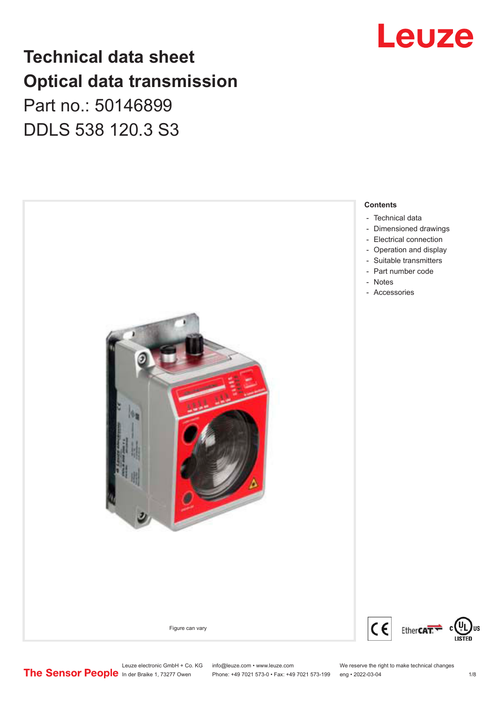## **Technical data sheet Optical data transmission**

### Part no.: 50146899 DDLS 538 120.3 S3





Leuze electronic GmbH + Co. KG info@leuze.com • www.leuze.com We reserve the right to make technical changes<br>
The Sensor People in der Braike 1, 73277 Owen Phone: +49 7021 573-0 • Fax: +49 7021 573-199 eng • 2022-03-04

Phone: +49 7021 573-0 • Fax: +49 7021 573-199 eng • 2022-03-04 1/8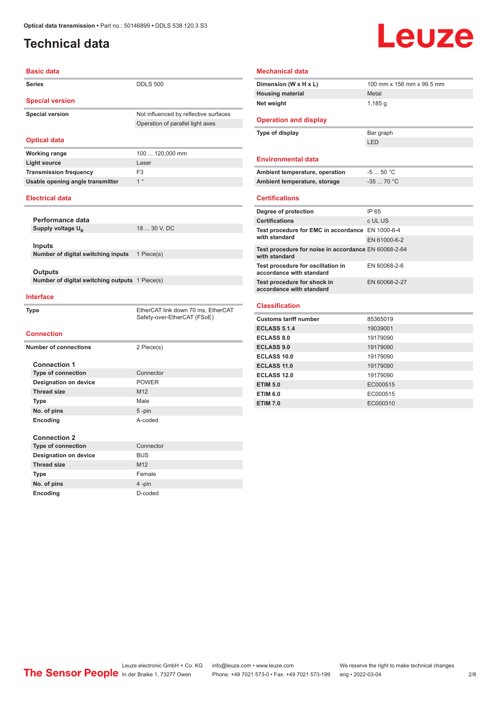### <span id="page-1-0"></span>**Technical data**

# Leuze

| <b>Basic data</b>                                 |                                                                   |  |
|---------------------------------------------------|-------------------------------------------------------------------|--|
| <b>Series</b>                                     | <b>DDLS 500</b>                                                   |  |
| <b>Special version</b>                            |                                                                   |  |
| <b>Special version</b>                            | Not influenced by reflective surfaces                             |  |
|                                                   | Operation of parallel light axes                                  |  |
|                                                   |                                                                   |  |
| <b>Optical data</b>                               |                                                                   |  |
| <b>Working range</b>                              | 100  120,000 mm                                                   |  |
| <b>Light source</b>                               | Laser                                                             |  |
| <b>Transmission frequency</b>                     | F <sub>3</sub>                                                    |  |
| Usable opening angle transmitter                  | 1 <sup>°</sup>                                                    |  |
| <b>Electrical data</b>                            |                                                                   |  |
|                                                   |                                                                   |  |
| Performance data<br>Supply voltage U <sub>R</sub> | 18  30 V, DC                                                      |  |
|                                                   |                                                                   |  |
| Inputs                                            |                                                                   |  |
| Number of digital switching inputs                | 1 Piece(s)                                                        |  |
|                                                   |                                                                   |  |
| Outputs                                           |                                                                   |  |
| Number of digital switching outputs 1 Piece(s)    |                                                                   |  |
| <b>Interface</b>                                  |                                                                   |  |
| <b>Type</b>                                       | EtherCAT link down 70 ms, EtherCAT<br>Safety-over-EtherCAT (FSoE) |  |
| <b>Connection</b>                                 |                                                                   |  |
| <b>Number of connections</b>                      | 2 Piece(s)                                                        |  |
|                                                   |                                                                   |  |
| <b>Connection 1</b>                               |                                                                   |  |
| <b>Type of connection</b>                         | Connector                                                         |  |
| <b>Designation on device</b>                      | <b>POWER</b>                                                      |  |
| <b>Thread size</b>                                | M12                                                               |  |
| <b>Type</b>                                       | Male                                                              |  |
| No. of pins                                       | $5 - pin$                                                         |  |
| Encoding                                          | A-coded                                                           |  |
|                                                   |                                                                   |  |
| <b>Connection 2</b><br><b>Type of connection</b>  | Connector                                                         |  |
| <b>Designation on device</b>                      | <b>BUS</b>                                                        |  |
| <b>Thread size</b>                                | M <sub>12</sub>                                                   |  |
|                                                   | Female                                                            |  |
| Type                                              | 4-pin                                                             |  |
| No. of pins                                       | D-coded                                                           |  |
| Encoding                                          |                                                                   |  |

| Dimension (W x H x L)                                                                                                                                                                                | 100 mm x 156 mm x 99.5 mm |
|------------------------------------------------------------------------------------------------------------------------------------------------------------------------------------------------------|---------------------------|
| <b>Housing material</b>                                                                                                                                                                              | Metal                     |
| Net weight                                                                                                                                                                                           | 1,185 g                   |
|                                                                                                                                                                                                      |                           |
| <b>Operation and display</b>                                                                                                                                                                         |                           |
| Type of display                                                                                                                                                                                      | Bar graph                 |
|                                                                                                                                                                                                      | LED                       |
| <b>Environmental data</b>                                                                                                                                                                            |                           |
| Ambient temperature, operation                                                                                                                                                                       | $-550 °C$                 |
| Ambient temperature, storage                                                                                                                                                                         | $-3570 °C$                |
| <b>Certifications</b>                                                                                                                                                                                |                           |
| Degree of protection                                                                                                                                                                                 | IP 65                     |
| <b>Certifications</b>                                                                                                                                                                                | c UL US                   |
| Test procedure for EMC in accordance EN 1000-6-4<br>with standard                                                                                                                                    |                           |
|                                                                                                                                                                                                      | EN 61000-6-2              |
| Test procedure for noise in accordance EN 60068-2-64<br>with standard                                                                                                                                |                           |
| Test procedure for oscillation in<br>accordance with standard                                                                                                                                        | EN 60068-2-6              |
| Test procedure for shock in<br>accordance with standard                                                                                                                                              | EN 60068-2-27             |
|                                                                                                                                                                                                      |                           |
|                                                                                                                                                                                                      |                           |
|                                                                                                                                                                                                      | 85365019                  |
|                                                                                                                                                                                                      | 19039001                  |
|                                                                                                                                                                                                      | 19179090                  |
|                                                                                                                                                                                                      | 19179090                  |
|                                                                                                                                                                                                      | 19179090                  |
|                                                                                                                                                                                                      | 19179090                  |
|                                                                                                                                                                                                      | 19179090                  |
| <b>Classification</b><br><b>Customs tariff number</b><br><b>ECLASS 5.1.4</b><br><b>ECLASS 8.0</b><br><b>ECLASS 9.0</b><br>ECLASS 10.0<br><b>ECLASS 11.0</b><br><b>ECLASS 12.0</b><br><b>ETIM 5.0</b> | EC000515                  |
| <b>ETIM 6.0</b><br><b>ETIM 7.0</b>                                                                                                                                                                   | EC000515<br>EC000310      |

Leuze electronic GmbH + Co. KG info@leuze.com • www.leuze.com We reserve the right to make technical changes ln der Braike 1, 73277 Owen Phone: +49 7021 573-0 • Fax: +49 7021 573-199 eng • 2022-03-04 2/8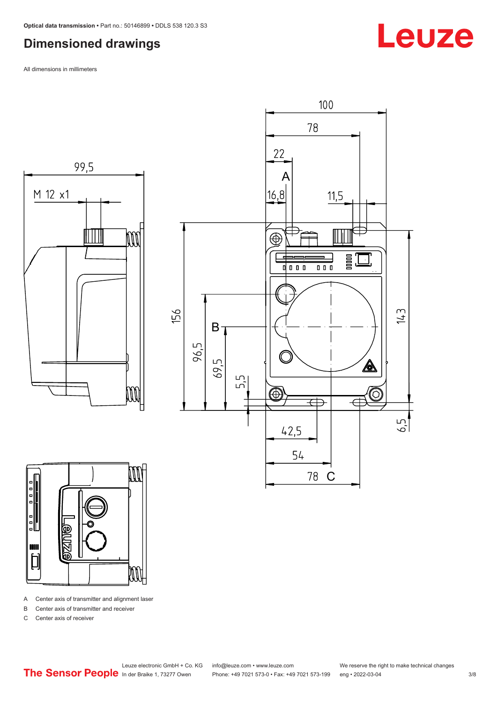#### <span id="page-2-0"></span>**Dimensioned drawings**

All dimensions in millimeters







A Center axis of transmitter and alignment laser

B Center axis of transmitter and receiver

C Center axis of receiver

Leuze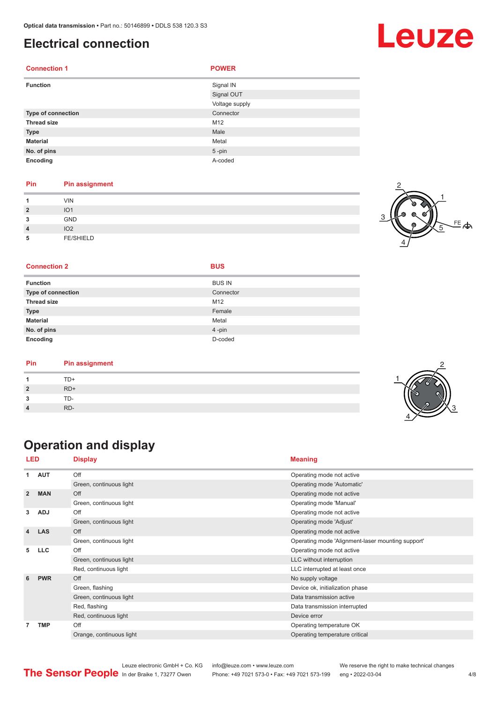#### <span id="page-3-0"></span>**Electrical connection**

| <b>Connection 1</b> | <b>POWER</b>   |
|---------------------|----------------|
| <b>Function</b>     | Signal IN      |
|                     | Signal OUT     |
|                     | Voltage supply |
| Type of connection  | Connector      |
| <b>Thread size</b>  | M12            |
| <b>Type</b>         | Male           |
| <b>Material</b>     | Metal          |
| No. of pins         | $5 - pin$      |
| Encoding            | A-coded        |

#### **Pin Pin assignment**

| и              | <b>VIN</b>       |  |
|----------------|------------------|--|
| $\overline{2}$ | IO <sub>1</sub>  |  |
| 3              | GND              |  |
| $\overline{4}$ | IO <sub>2</sub>  |  |
| 5              | <b>FE/SHIELD</b> |  |



#### **Connection 2 BUS**

|  | I |
|--|---|
|  |   |

| <b>Function</b>           | <b>BUS IN</b> |
|---------------------------|---------------|
| <b>Type of connection</b> | Connector     |
| <b>Thread size</b>        | M12           |
| <b>Type</b>               | Female        |
| <b>Material</b>           | Metal         |
| No. of pins               | 4-pin         |
| Encoding                  | D-coded       |

| Pin | <b>Pin assignment</b> |
|-----|-----------------------|
|     | TD+                   |
|     | $RD+$                 |
|     | TD-                   |
|     | RD-                   |

### **Operation and display**

| <b>LED</b>     |            | <b>Display</b>                                                                                                                                                                                                                                                                                                                                                                                                                                     | <b>Meaning</b>                                    |
|----------------|------------|----------------------------------------------------------------------------------------------------------------------------------------------------------------------------------------------------------------------------------------------------------------------------------------------------------------------------------------------------------------------------------------------------------------------------------------------------|---------------------------------------------------|
| 1              | <b>AUT</b> | Off                                                                                                                                                                                                                                                                                                                                                                                                                                                | Operating mode not active                         |
|                |            | Green, continuous light                                                                                                                                                                                                                                                                                                                                                                                                                            | Operating mode 'Automatic'                        |
| $\overline{2}$ | <b>MAN</b> | Off                                                                                                                                                                                                                                                                                                                                                                                                                                                | Operating mode not active                         |
|                |            | Green, continuous light<br>Operating mode 'Manual'<br>Off<br>Operating mode not active<br>Green, continuous light<br>Operating mode 'Adjust'<br>Off<br>Operating mode not active<br>Green, continuous light<br>Off<br>Operating mode not active<br>Green, continuous light<br>LLC without interruption<br>Red, continuous light<br>LLC interrupted at least once<br>No supply voltage<br>Off<br>Green, flashing<br>Device ok, initialization phase |                                                   |
| 3              | <b>ADJ</b> |                                                                                                                                                                                                                                                                                                                                                                                                                                                    |                                                   |
|                |            |                                                                                                                                                                                                                                                                                                                                                                                                                                                    |                                                   |
| 4              | <b>LAS</b> |                                                                                                                                                                                                                                                                                                                                                                                                                                                    |                                                   |
|                |            |                                                                                                                                                                                                                                                                                                                                                                                                                                                    | Operating mode 'Alignment-laser mounting support' |
| 5              | <b>LLC</b> |                                                                                                                                                                                                                                                                                                                                                                                                                                                    |                                                   |
|                |            |                                                                                                                                                                                                                                                                                                                                                                                                                                                    |                                                   |
|                |            |                                                                                                                                                                                                                                                                                                                                                                                                                                                    |                                                   |
| 6              | <b>PWR</b> |                                                                                                                                                                                                                                                                                                                                                                                                                                                    |                                                   |
|                |            |                                                                                                                                                                                                                                                                                                                                                                                                                                                    |                                                   |
|                |            | Green, continuous light                                                                                                                                                                                                                                                                                                                                                                                                                            | Data transmission active                          |
|                |            | Red, flashing                                                                                                                                                                                                                                                                                                                                                                                                                                      | Data transmission interrupted                     |
|                |            | Red, continuous light                                                                                                                                                                                                                                                                                                                                                                                                                              | Device error                                      |
| 7              | <b>TMP</b> | Off                                                                                                                                                                                                                                                                                                                                                                                                                                                | Operating temperature OK                          |
|                |            | Orange, continuous light                                                                                                                                                                                                                                                                                                                                                                                                                           | Operating temperature critical                    |

Leuze electronic GmbH + Co. KG info@leuze.com • www.leuze.com We reserve the right to make technical changes<br>
The Sensor People in der Braike 1, 73277 Owen Phone: +49 7021 573-0 • Fax: +49 7021 573-199 eng • 2022-03-04 Phone: +49 7021 573-0 • Fax: +49 7021 573-199 eng • 2022-03-04 **4/8** 

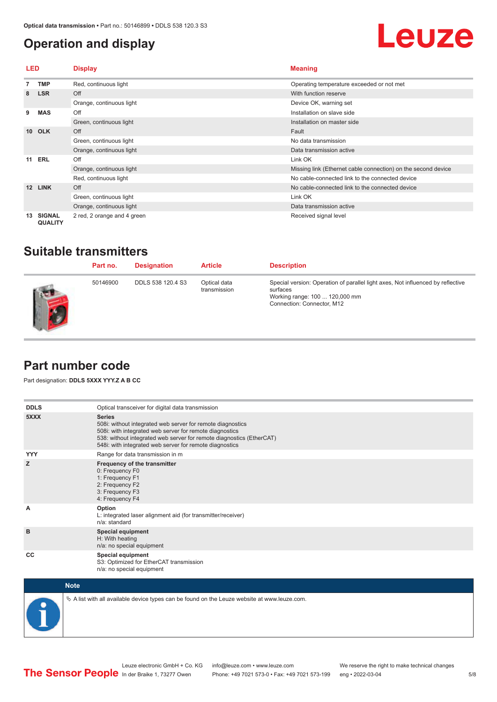#### <span id="page-4-0"></span>**Operation and display**

## Leuze

| LED             |                                 | <b>Display</b>              | <b>Meaning</b>                                                                                                                                                       |  |
|-----------------|---------------------------------|-----------------------------|----------------------------------------------------------------------------------------------------------------------------------------------------------------------|--|
|                 | <b>TMP</b>                      | Red, continuous light       | Operating temperature exceeded or not met                                                                                                                            |  |
| 8               | <b>LSR</b>                      | Off                         | With function reserve                                                                                                                                                |  |
|                 |                                 | Orange, continuous light    | Device OK, warning set                                                                                                                                               |  |
| 9               | <b>MAS</b>                      | Off                         | Installation on slave side                                                                                                                                           |  |
|                 |                                 | Green, continuous light     | Installation on master side<br>Fault<br>No data transmission<br>Data transmission active<br>Link OK<br>Missing link (Ethernet cable connection) on the second device |  |
| 10 <sup>1</sup> | <b>OLK</b>                      | Off                         |                                                                                                                                                                      |  |
|                 |                                 | Green, continuous light     |                                                                                                                                                                      |  |
|                 |                                 | Orange, continuous light    |                                                                                                                                                                      |  |
|                 | <b>11 ERL</b>                   | Off                         |                                                                                                                                                                      |  |
|                 |                                 | Orange, continuous light    |                                                                                                                                                                      |  |
|                 |                                 | Red, continuous light       | No cable-connected link to the connected device                                                                                                                      |  |
| 12              | <b>LINK</b>                     | Off                         | No cable-connected link to the connected device                                                                                                                      |  |
|                 |                                 | Green, continuous light     | Link OK                                                                                                                                                              |  |
|                 |                                 | Orange, continuous light    | Data transmission active                                                                                                                                             |  |
| 13              | <b>SIGNAL</b><br><b>QUALITY</b> | 2 red, 2 orange and 4 green | Received signal level                                                                                                                                                |  |

#### **Suitable transmitters**

| Part no. | <b>Designation</b> | <b>Article</b>               | <b>Description</b>                                                                                                                                          |
|----------|--------------------|------------------------------|-------------------------------------------------------------------------------------------------------------------------------------------------------------|
| 50146900 | DDLS 538 120.4 S3  | Optical data<br>transmission | Special version: Operation of parallel light axes, Not influenced by reflective<br>surfaces<br>Working range: 100  120,000 mm<br>Connection: Connector, M12 |

#### **Part number code**

Part designation: **DDLS 5XXX YYY.Z A B CC**

| <b>DDLS</b> | Optical transceiver for digital data transmission                                                                                                                                                                                                                         |
|-------------|---------------------------------------------------------------------------------------------------------------------------------------------------------------------------------------------------------------------------------------------------------------------------|
| 5XXX        | <b>Series</b><br>508i: without integrated web server for remote diagnostics<br>508i: with integrated web server for remote diagnostics<br>538: without integrated web server for remote diagnostics (EtherCAT)<br>548i: with integrated web server for remote diagnostics |
| <b>YYY</b>  | Range for data transmission in m                                                                                                                                                                                                                                          |
| z           | Frequency of the transmitter<br>0: Frequency F0<br>1: Frequency F1<br>2: Frequency F2<br>3: Frequency F3<br>4: Frequency F4                                                                                                                                               |
| A           | Option<br>L: integrated laser alignment aid (for transmitter/receiver)<br>n/a: standard                                                                                                                                                                                   |
| B           | <b>Special equipment</b><br>H: With heating<br>n/a: no special equipment                                                                                                                                                                                                  |
| CC          | Special equipment<br>S3: Optimized for EtherCAT transmission<br>n/a: no special equipment                                                                                                                                                                                 |



 $\&$  A list with all available device types can be found on the Leuze website at www.leuze.com.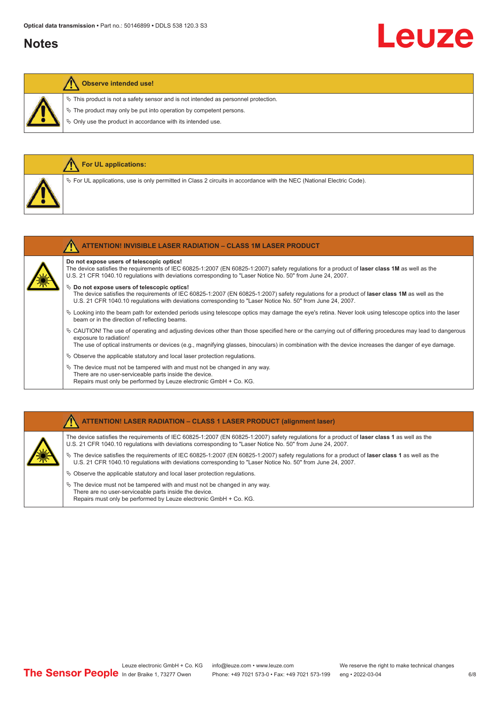#### **Notes**

# Leuze

#### **Observe intended use!**

**R** For UL applications:

 $\%$  This product is not a safety sensor and is not intended as personnel protection.

 $\&$  The product may only be put into operation by competent persons.

 $\%$  Only use the product in accordance with its intended use.

| $\%$ For UL applications, use is only permitted in Class 2 circuits in accordance with the NEC (National Electric Code).                                                                                                                                                                                      |
|---------------------------------------------------------------------------------------------------------------------------------------------------------------------------------------------------------------------------------------------------------------------------------------------------------------|
| <b>ATTENTION! INVISIBLE LASER RADIATION - CLASS 1M LASER PRODUCT</b>                                                                                                                                                                                                                                          |
| Do not expose users of telescopic optics!<br>The device satisfies the requirements of IEC 60825-1:2007 (EN 60825-1:2007) safety requlations for a product of laser class 1M as well as the<br>U.S. 21 CFR 1040.10 regulations with deviations corresponding to "Laser Notice No. 50" from June 24, 2007.      |
| $\%$ Do not expose users of telescopic optics!<br>The device satisfies the requirements of IEC 60825-1:2007 (EN 60825-1:2007) safety requlations for a product of laser class 1M as well as the<br>U.S. 21 CFR 1040.10 regulations with deviations corresponding to "Laser Notice No. 50" from June 24, 2007. |
| $\&$ Looking into the beam path for extended periods using telescope optics may damage the eye's retina. Never look using telescope optics into the laser                                                                                                                                                     |

ª CAUTION! The use of operating and adjusting devices other than those specified here or the carrying out of differing procedures may lead to dangerous exposure to radiation!

The use of optical instruments or devices (e.g., magnifying glasses, binoculars) in combination with the device increases the danger of eye damage.

 $\&$  Observe the applicable statutory and local laser protection regulations.

 $\%$  The device must not be tampered with and must not be changed in any way. There are no user-serviceable parts inside the device. Repairs must only be performed by Leuze electronic GmbH + Co. KG.

#### **ATTENTION! LASER RADIATION – CLASS 1 LASER PRODUCT (alignment laser)**

The device satisfies the requirements of IEC 60825-1:2007 (EN 60825-1:2007) safety regulations for a product of **laser class 1** as well as the U.S. 21 CFR 1040.10 regulations with deviations corresponding to "Laser Notice No. 50" from June 24, 2007.

ª The device satisfies the requirements of IEC 60825-1:2007 (EN 60825-1:2007) safety regulations for a product of **laser class 1** as well as the U.S. 21 CFR 1040.10 regulations with deviations corresponding to "Laser Notice No. 50" from June 24, 2007.

- $\%$  Observe the applicable statutory and local laser protection regulations.
- $\ddot{\phi}$  The device must not be tampered with and must not be changed in any way. There are no user-serviceable parts inside the device. Repairs must only be performed by Leuze electronic GmbH + Co. KG.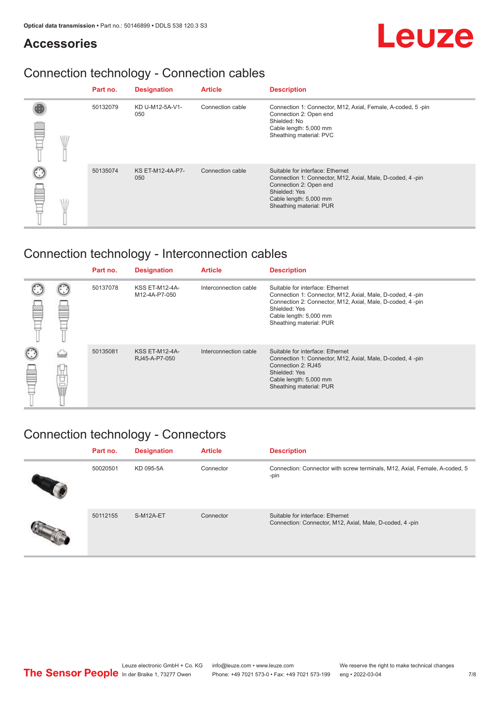#### **Accessories**

# Leuze

### Connection technology - Connection cables

|   | Part no. | <b>Designation</b>             | <b>Article</b>   | <b>Description</b>                                                                                                                                                                            |
|---|----------|--------------------------------|------------------|-----------------------------------------------------------------------------------------------------------------------------------------------------------------------------------------------|
| Ŧ | 50132079 | KD U-M12-5A-V1-<br>050         | Connection cable | Connection 1: Connector, M12, Axial, Female, A-coded, 5-pin<br>Connection 2: Open end<br>Shielded: No<br>Cable length: 5,000 mm<br>Sheathing material: PVC                                    |
|   | 50135074 | <b>KS ET-M12-4A-P7-</b><br>050 | Connection cable | Suitable for interface: Ethernet<br>Connection 1: Connector, M12, Axial, Male, D-coded, 4-pin<br>Connection 2: Open end<br>Shielded: Yes<br>Cable length: 5,000 mm<br>Sheathing material: PUR |

### Connection technology - Interconnection cables

|   |    | Part no. | <b>Designation</b>                     | <b>Article</b>        | <b>Description</b>                                                                                                                                                                                                               |
|---|----|----------|----------------------------------------|-----------------------|----------------------------------------------------------------------------------------------------------------------------------------------------------------------------------------------------------------------------------|
|   |    | 50137078 | <b>KSS ET-M12-4A-</b><br>M12-4A-P7-050 | Interconnection cable | Suitable for interface: Ethernet<br>Connection 1: Connector, M12, Axial, Male, D-coded, 4-pin<br>Connection 2: Connector, M12, Axial, Male, D-coded, 4-pin<br>Shielded: Yes<br>Cable length: 5,000 mm<br>Sheathing material: PUR |
| ø | 甘国 | 50135081 | <b>KSS ET-M12-4A-</b><br>RJ45-A-P7-050 | Interconnection cable | Suitable for interface: Ethernet<br>Connection 1: Connector, M12, Axial, Male, D-coded, 4-pin<br>Connection 2: RJ45<br>Shielded: Yes<br>Cable length: 5,000 mm<br>Sheathing material: PUR                                        |

### Connection technology - Connectors

| Part no. | <b>Designation</b> | <b>Article</b> | <b>Description</b>                                                                          |
|----------|--------------------|----------------|---------------------------------------------------------------------------------------------|
| 50020501 | KD 095-5A          | Connector      | Connection: Connector with screw terminals, M12, Axial, Female, A-coded, 5<br>-pin          |
| 50112155 | S-M12A-ET          | Connector      | Suitable for interface: Ethernet<br>Connection: Connector, M12, Axial, Male, D-coded, 4-pin |